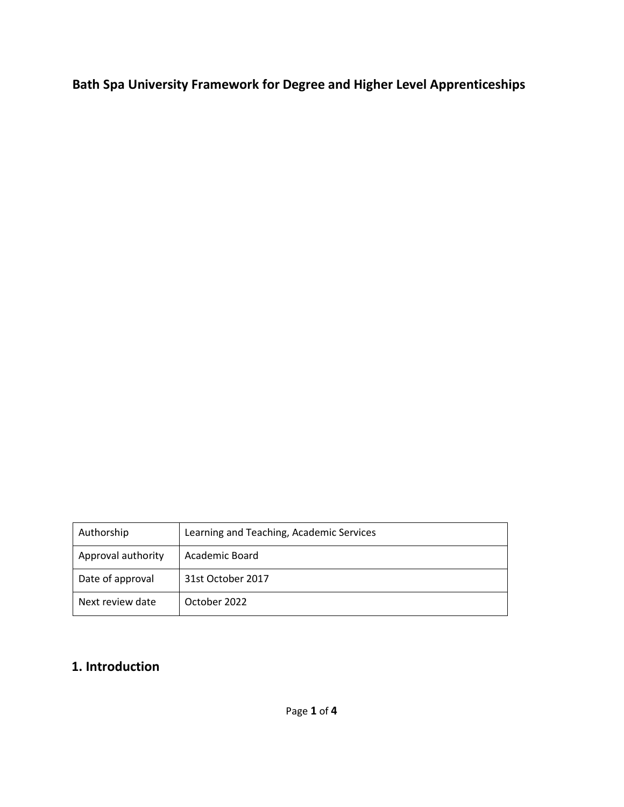**Bath Spa University Framework for Degree and Higher Level Apprenticeships** 

| Authorship         | Learning and Teaching, Academic Services |
|--------------------|------------------------------------------|
| Approval authority | Academic Board                           |
| Date of approval   | 31st October 2017                        |
| Next review date   | October 2022                             |

# **1. Introduction**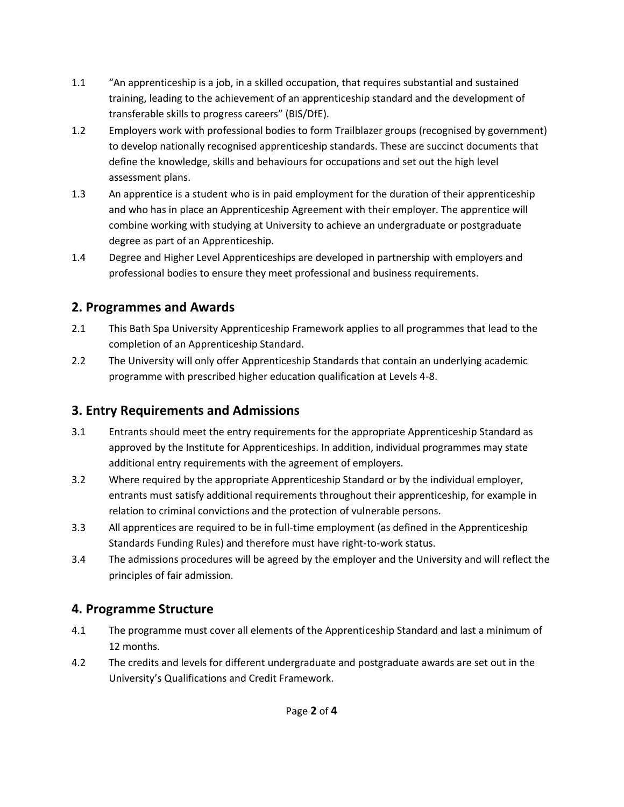- 1.1 "An apprenticeship is a job, in a skilled occupation, that requires substantial and sustained training, leading to the achievement of an apprenticeship standard and the development of transferable skills to progress careers" (BIS/DfE).
- 1.2 Employers work with professional bodies to form Trailblazer groups (recognised by government) to develop nationally recognised apprenticeship standards. These are succinct documents that define the knowledge, skills and behaviours for occupations and set out the high level assessment plans.
- 1.3 An apprentice is a student who is in paid employment for the duration of their apprenticeship and who has in place an Apprenticeship Agreement with their employer. The apprentice will combine working with studying at University to achieve an undergraduate or postgraduate degree as part of an Apprenticeship.
- 1.4 Degree and Higher Level Apprenticeships are developed in partnership with employers and professional bodies to ensure they meet professional and business requirements.

#### **2. Programmes and Awards**

- 2.1 This Bath Spa University Apprenticeship Framework applies to all programmes that lead to the completion of an Apprenticeship Standard.
- 2.2 The University will only offer Apprenticeship Standards that contain an underlying academic programme with prescribed higher education qualification at Levels 4-8.

# **3. Entry Requirements and Admissions**

- 3.1 Entrants should meet the entry requirements for the appropriate Apprenticeship Standard as approved by the Institute for Apprenticeships. In addition, individual programmes may state additional entry requirements with the agreement of employers.
- 3.2 Where required by the appropriate Apprenticeship Standard or by the individual employer, entrants must satisfy additional requirements throughout their apprenticeship, for example in relation to criminal convictions and the protection of vulnerable persons.
- 3.3 All apprentices are required to be in full-time employment (as defined in the Apprenticeship Standards Funding Rules) and therefore must have right-to-work status.
- 3.4 The admissions procedures will be agreed by the employer and the University and will reflect the principles of fair admission.

## **4. Programme Structure**

- 4.1 The programme must cover all elements of the Apprenticeship Standard and last a minimum of 12 months.
- 4.2 The credits and levels for different undergraduate and postgraduate awards are set out in the University's Qualifications and Credit Framework.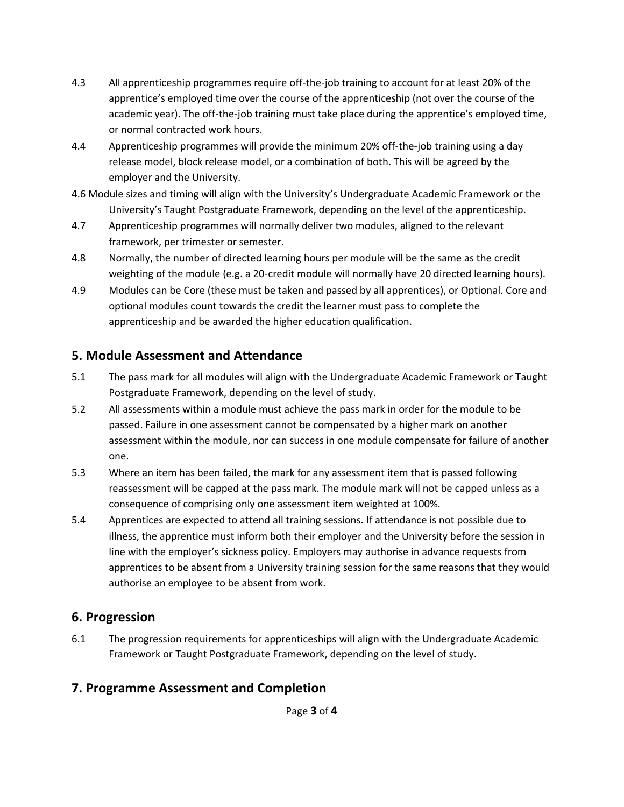- 4.3 All apprenticeship programmes require off-the-job training to account for at least 20% of the apprentice's employed time over the course of the apprenticeship (not over the course of the academic year). The off-the-job training must take place during the apprentice's employed time, or normal contracted work hours.
- 4.4 Apprenticeship programmes will provide the minimum 20% off-the-job training using a day release model, block release model, or a combination of both. This will be agreed by the employer and the University.
- 4.6 Module sizes and timing will align with the University's Undergraduate Academic Framework or the University's Taught Postgraduate Framework, depending on the level of the apprenticeship.
- 4.7 Apprenticeship programmes will normally deliver two modules, aligned to the relevant framework, per trimester or semester.
- 4.8 Normally, the number of directed learning hours per module will be the same as the credit weighting of the module (e.g. a 20-credit module will normally have 20 directed learning hours).
- 4.9 Modules can be Core (these must be taken and passed by all apprentices), or Optional. Core and optional modules count towards the credit the learner must pass to complete the apprenticeship and be awarded the higher education qualification.

#### **5. Module Assessment and Attendance**

- 5.1 The pass mark for all modules will align with the Undergraduate Academic Framework or Taught Postgraduate Framework, depending on the level of study.
- 5.2 All assessments within a module must achieve the pass mark in order for the module to be passed. Failure in one assessment cannot be compensated by a higher mark on another assessment within the module, nor can success in one module compensate for failure of another one.
- 5.3 Where an item has been failed, the mark for any assessment item that is passed following reassessment will be capped at the pass mark. The module mark will not be capped unless as a consequence of comprising only one assessment item weighted at 100%.
- 5.4 Apprentices are expected to attend all training sessions. If attendance is not possible due to illness, the apprentice must inform both their employer and the University before the session in line with the employer's sickness policy. Employers may authorise in advance requests from apprentices to be absent from a University training session for the same reasons that they would authorise an employee to be absent from work.

#### **6. Progression**

6.1 The progression requirements for apprenticeships will align with the Undergraduate Academic Framework or Taught Postgraduate Framework, depending on the level of study.

## **7. Programme Assessment and Completion**